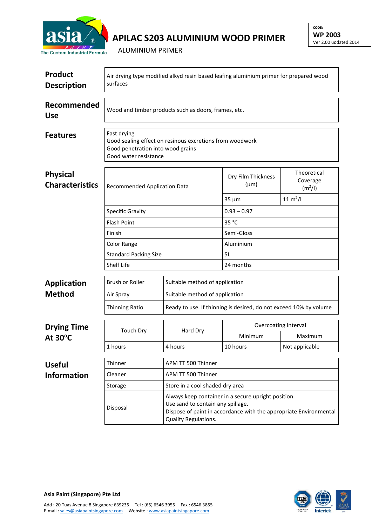

## **APILAC S203 ALUMINIUM WOOD PRIMER**

**CODE: WP 2003** Ver 2.00 updated 2014

ALUMINIUM PRIMER

| Product<br><b>Description</b>             | Air drying type modified alkyd resin based leafing aluminium primer for prepared wood<br>surfaces                                                                                                 |                                                                   |                                 |                                                |  |  |
|-------------------------------------------|---------------------------------------------------------------------------------------------------------------------------------------------------------------------------------------------------|-------------------------------------------------------------------|---------------------------------|------------------------------------------------|--|--|
| Recommended<br><b>Use</b>                 | Wood and timber products such as doors, frames, etc.                                                                                                                                              |                                                                   |                                 |                                                |  |  |
| <b>Features</b>                           | Fast drying<br>Good sealing effect on resinous excretions from woodwork<br>Good penetration into wood grains<br>Good water resistance                                                             |                                                                   |                                 |                                                |  |  |
| <b>Physical</b><br><b>Characteristics</b> | <b>Recommended Application Data</b>                                                                                                                                                               |                                                                   | Dry Film Thickness<br>$(\mu m)$ | Theoretical<br>Coverage<br>(m <sup>2</sup> /I) |  |  |
|                                           |                                                                                                                                                                                                   |                                                                   | $35 \mu m$                      | $11 \text{ m}^2$ /l                            |  |  |
|                                           | Specific Gravity                                                                                                                                                                                  |                                                                   | $0.93 - 0.97$                   |                                                |  |  |
|                                           | <b>Flash Point</b>                                                                                                                                                                                |                                                                   | 35 °C                           |                                                |  |  |
|                                           | Finish                                                                                                                                                                                            |                                                                   | Semi-Gloss                      |                                                |  |  |
|                                           | Color Range                                                                                                                                                                                       |                                                                   | Aluminium                       |                                                |  |  |
|                                           | <b>Standard Packing Size</b>                                                                                                                                                                      |                                                                   | 5L                              |                                                |  |  |
|                                           | <b>Shelf Life</b>                                                                                                                                                                                 |                                                                   | 24 months                       |                                                |  |  |
| <b>Application</b>                        | <b>Brush or Roller</b>                                                                                                                                                                            | Suitable method of application                                    |                                 |                                                |  |  |
| <b>Method</b>                             | Air Spray                                                                                                                                                                                         | Suitable method of application                                    |                                 |                                                |  |  |
|                                           | <b>Thinning Ratio</b>                                                                                                                                                                             | Ready to use. If thinning is desired, do not exceed 10% by volume |                                 |                                                |  |  |
| <b>Drying Time</b><br>At $30^{\circ}$ C   | <b>Touch Dry</b>                                                                                                                                                                                  | Hard Dry                                                          | Overcoating Interval            |                                                |  |  |
|                                           |                                                                                                                                                                                                   |                                                                   | Minimum                         | Maximum                                        |  |  |
|                                           | 1 hours                                                                                                                                                                                           | 4 hours                                                           | 10 hours                        | Not applicable                                 |  |  |
| <b>Useful</b>                             | Thinner                                                                                                                                                                                           | APM TT 500 Thinner                                                |                                 |                                                |  |  |
| <b>Information</b>                        | Cleaner                                                                                                                                                                                           | APM TT 500 Thinner                                                |                                 |                                                |  |  |
|                                           | Storage                                                                                                                                                                                           | Store in a cool shaded dry area                                   |                                 |                                                |  |  |
|                                           | Always keep container in a secure upright position.<br>Use sand to contain any spillage.<br>Disposal<br>Dispose of paint in accordance with the appropriate Environmental<br>Quality Regulations. |                                                                   |                                 |                                                |  |  |